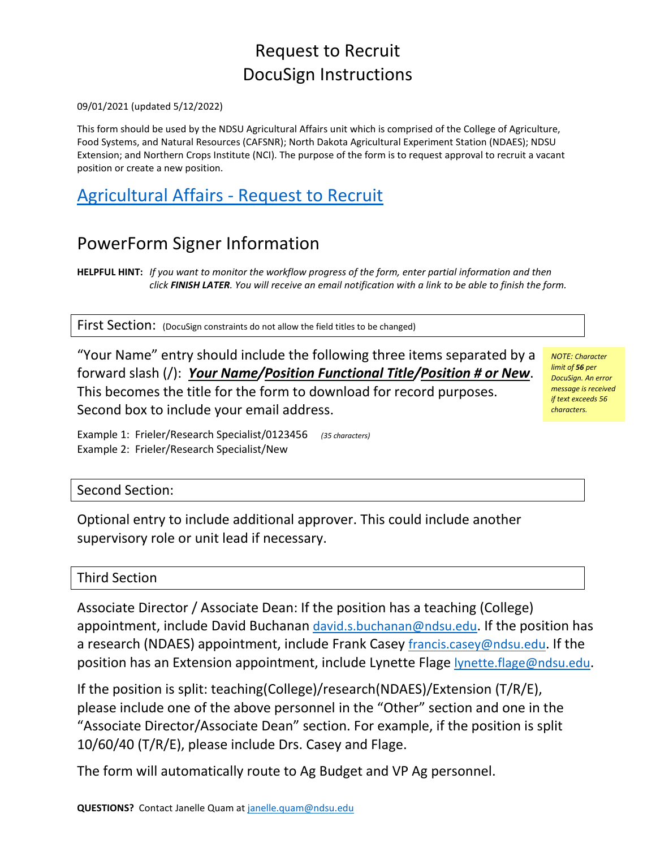## Request to Recruit DocuSign Instructions

### 09/01/2021 (updated 5/12/2022)

This form should be used by the NDSU Agricultural Affairs unit which is comprised of the College of Agriculture, Food Systems, and Natural Resources (CAFSNR); North Dakota Agricultural Experiment Station (NDAES); NDSU Extension; and Northern Crops Institute (NCI). The purpose of the form is to request approval to recruit a vacant position or create a new position.

## [Agricultural Affairs -](https://na3.docusign.net/Member/PowerFormSigning.aspx?PowerFormId=bb7b5389-88c1-4569-8067-4c2211e6cf6b&env=na3&acct=1ceb9a57-b6a3-4df7-b655-d64cf8f1c2d7&v=2) Request to Recruit

## PowerForm Signer Information

**HELPFUL HINT:** *If you want to monitor the workflow progress of the form, enter partial information and then click FINISH LATER. You will receive an email notification with a link to be able to finish the form.*

First Section: (DocuSign constraints do not allow the field titles to be changed)

"Your Name" entry should include the following three items separated by a forward slash (/): *Your Name/Position Functional Title/Position # or New*. This becomes the title for the form to download for record purposes. Second box to include your email address.

*NOTE: Character limit of 56 per DocuSign. An error message is received if text exceeds 56 characters.*

Example 1: Frieler/Research Specialist/0123456 *(35 characters)* Example 2: Frieler/Research Specialist/New

### Second Section:

Optional entry to include additional approver. This could include another supervisory role or unit lead if necessary.

### Third Section

Associate Director / Associate Dean: If the position has a teaching (College) appointment, include David Buchanan [david.s.buchanan@ndsu.edu.](mailto:david.s.buchanan@ndsu.edu) If the position has a research (NDAES) appointment, include Frank Casey [francis.casey@ndsu.edu.](mailto:francis.casey@ndsu.edu) If the position has an Extension appointment, include Lynette Flage [lynette.flage@ndsu.edu.](mailto:lynette.flage@ndsu.edu)

If the position is split: teaching(College)/research(NDAES)/Extension (T/R/E), please include one of the above personnel in the "Other" section and one in the "Associate Director/Associate Dean" section. For example, if the position is split 10/60/40 (T/R/E), please include Drs. Casey and Flage.

The form will automatically route to Ag Budget and VP Ag personnel.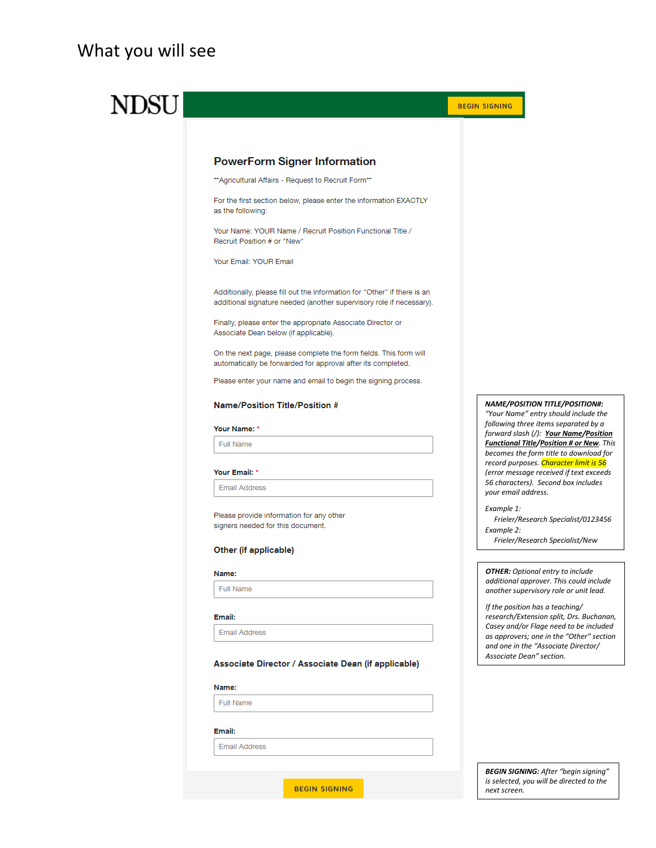### What you will see

# **NDSU**



#### Name/Position Title/Position #

Associate Dean below (if applicable).

**PowerForm Signer Information** \*\* Agricultural Affairs - Request to Recruit Form\*\*

Your Name: YOUR Name / Recruit Position Functional Title /

Finally, please enter the appropriate Associate Director or

automatically be forwarded for approval after its completed. Please enter your name and email to begin the signing process.

#### Your Name: \*

as the following:

Recruit Position # or "New" Your Email: YOUR Email

Full Name

#### Your Email: \*

**Email Address** 

Please provide information for any other signers needed for this document.

#### Other (if applicable)

#### Name:

**Full Name** 

#### Email:

**Email Address** 

#### Associate Director / Associate Dean (if applicable)

#### Name:

Full Name

#### Email:

**Email Address** 

**BEGIN SIGNING** 

*NAME/POSITION TITLE/POSITION#: "Your Name" entry should include the following three items separated by a forward slash (/): Your Name/Position Functional Title/Position # or New. This becomes the form title to download for record purposes. Character limit is 56 (error message received if text exceeds 56 characters). Second box includes your email address.*

#### *Example 1:*

 *Frieler/Research Specialist/0123456 Example 2:* 

 *Frieler/Research Specialist/New*

*OTHER: Optional entry to include additional approver. This could include another supervisory role or unit lead.*

*If the position has a teaching/ research/Extension split, Drs. Buchanan, Casey and/or Flage need to be included as approvers; one in the "Other" section and one in the "Associate Director/ Associate Dean" section.*

*BEGIN SIGNING: After "begin signing" is selected, you will be directed to the next screen.*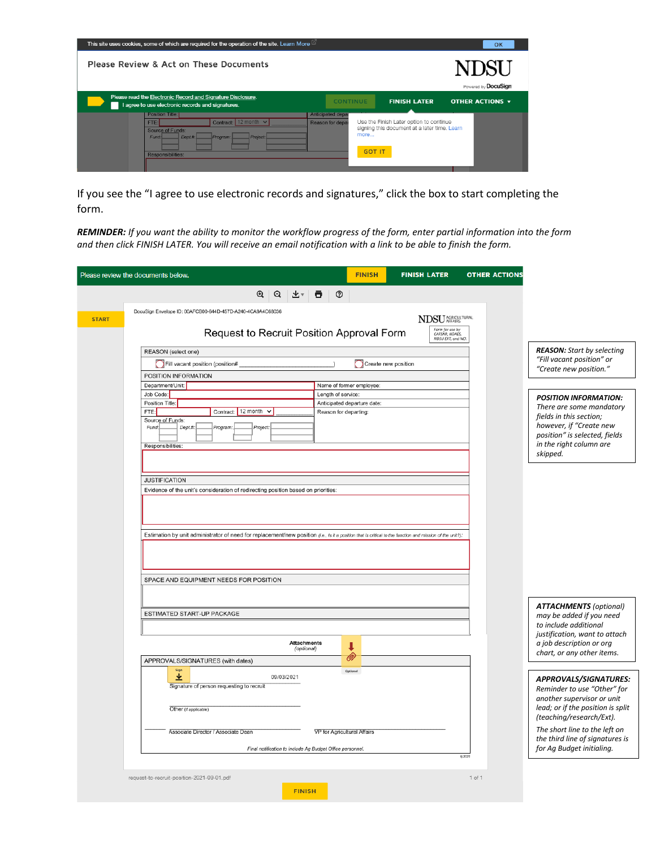| This site uses cookies, some of which are required for the operation of the site. Learn More<br>OK |                                                                                                                  |                      |                  |                                                                       |                             |  |
|----------------------------------------------------------------------------------------------------|------------------------------------------------------------------------------------------------------------------|----------------------|------------------|-----------------------------------------------------------------------|-----------------------------|--|
|                                                                                                    | Please Review & Act on These Documents                                                                           |                      |                  |                                                                       | NDSI<br>Powered by DocuSign |  |
|                                                                                                    | Please read the Electronic Record and Signature Disclosure.<br>I agree to use electronic records and signatures. |                      | <b>CONTINUE</b>  | <b>FINISH LATER</b>                                                   | <b>OTHER ACTIONS v</b>      |  |
|                                                                                                    | <b>Position Title:</b>                                                                                           |                      | Anticipated depa |                                                                       |                             |  |
|                                                                                                    | FTE:                                                                                                             | Contract: 12 month v | Reason for depar | Use the Finish Later option to continue                               |                             |  |
|                                                                                                    | <b>Source of Funds:</b><br>Fund:<br>Dept.#:<br>Responsibilities:                                                 | Project:<br>Program: |                  | signing this document at a later time. Learn<br>more<br><b>GOT IT</b> |                             |  |

If you see the "I agree to use electronic records and signatures," click the box to start completing the form.

*REMINDER: If you want the ability to monitor the workflow progress of the form, enter partial information into the form and then click FINISH LATER. You will receive an email notification with a link to be able to finish the form.*

|              | <b>FINISH</b><br><b>FINISH LATER</b><br><b>OTHER ACTIONS</b><br>Please review the documents below.                                                                                                                                                                                       |                                                                                                                                                        |
|--------------|------------------------------------------------------------------------------------------------------------------------------------------------------------------------------------------------------------------------------------------------------------------------------------------|--------------------------------------------------------------------------------------------------------------------------------------------------------|
|              | Q<br>Q<br>℗<br>┻▾<br>Θ                                                                                                                                                                                                                                                                   |                                                                                                                                                        |
| <b>START</b> | DocuSign Envelope ID: 00AFCB00-644D-457D-A240-4CA9A4C68036<br><b>NDSU</b> AFFAIRS<br>Form for use by<br>CAFSNR, NDAES,<br>Request to Recruit Position Approval Form                                                                                                                      |                                                                                                                                                        |
|              | NDSU EXT, and NCI.<br>REASON (select one)                                                                                                                                                                                                                                                | <b>REASON:</b> Start by selecting                                                                                                                      |
|              | Fill vacant position (position#<br>Create new position<br>POSITION INFORMATION                                                                                                                                                                                                           | "Fill vacant position" or<br>"Create new position."                                                                                                    |
|              | Department/Unit:<br>Name of former employee:                                                                                                                                                                                                                                             |                                                                                                                                                        |
|              | Job Code:<br>Length of service:                                                                                                                                                                                                                                                          | <b>POSITION INFORMATION:</b>                                                                                                                           |
|              | Position Title:<br>Anticipated departure date:<br>Contract: 12 month v<br>FTE:<br>Reason for departing:<br>Source of Funds:<br>Dept.#.<br>Project:<br>Fund:<br>Program:<br>Responsibilities:                                                                                             | There are some mandatory<br>fields in this section;<br>however, if "Create new<br>position" is selected, fields<br>in the right column are<br>skipped. |
|              | <b>JUSTIFICATION</b>                                                                                                                                                                                                                                                                     |                                                                                                                                                        |
|              | Evidence of the unit's consideration of redirecting position based on priorities:<br>Estimation by unit administrator of need for replacement/new position (i.e., Is it a position that is critical to the function and mission of the unit?):<br>SPACE AND EQUIPMENT NEEDS FOR POSITION |                                                                                                                                                        |
|              |                                                                                                                                                                                                                                                                                          | <b>ATTACHMENTS (optional)</b>                                                                                                                          |
|              | ESTIMATED START-UP PACKAGE                                                                                                                                                                                                                                                               | may be added if you need<br>to include additional                                                                                                      |
|              | <b>Attachments</b><br>ı<br>(optional)<br>O)                                                                                                                                                                                                                                              | justification, want to attach<br>a job description or org<br>chart, or any other items.                                                                |
|              | APPROVALS/SIGNATURES (with dates)                                                                                                                                                                                                                                                        |                                                                                                                                                        |
|              | Sign<br>Optional<br>业<br>09/03/2021<br>Signature of person requesting to recruit<br>Other (if applicable)                                                                                                                                                                                | APPROVALS/SIGNATURES:<br>Reminder to use "Other" for<br>another supervisor or unit<br>lead; or if the position is split<br>(teaching/research/Ext).    |
|              | Associate Director / Associate Dean<br>VP for Agricultural Affairs<br>Final notification to include Ag Budget Office personnel.<br>9/2021                                                                                                                                                | The short line to the left on<br>the third line of signatures is<br>for Ag Budget initialing.                                                          |
|              | $1$ of $1$<br>request-to-recruit-position-2021-09-01.pdf<br><b>FINISH</b>                                                                                                                                                                                                                |                                                                                                                                                        |